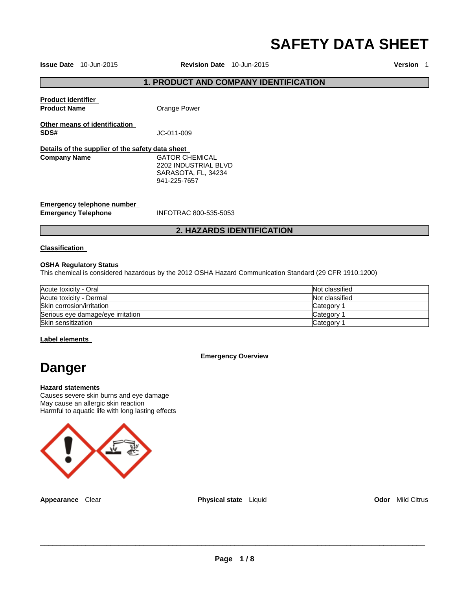# **SAFETY DATA SHEET**

**Issue Date** 10-Jun-2015 **Revision Date** 10-Jun-2015 **Version** 1

## **1. PRODUCT AND COMPANY IDENTIFICATION**

| <b>Product identifier</b><br><b>Product Name</b>                        | Orange Power                                                                  |
|-------------------------------------------------------------------------|-------------------------------------------------------------------------------|
| Other means of identification<br>SDS#                                   | JC-011-009                                                                    |
| Details of the supplier of the safety data sheet<br><b>Company Name</b> | GATOR CHEMICAL<br>2202 INDUSTRIAL BLVD<br>SARASOTA, FL, 34234<br>941-225-7657 |
| Emergency telephone number<br><b>Emergency Telephone</b>                | INFOTRAC 800-535-5053                                                         |

## **2. HAZARDS IDENTIFICATION**

#### **Classification**

#### **OSHA Regulatory Status**

This chemical is considered hazardous by the 2012 OSHA Hazard Communication Standard (29 CFR 1910.1200)

| Acute toxicity - Oral             | Not classified |
|-----------------------------------|----------------|
| Acute toxicity - Dermal           | Not classified |
| Skin corrosion/irritation         | Category       |
| Serious eye damage/eye irritation | Category       |
| Skin sensitization                | Category       |

#### **Label elements**

#### **Emergency Overview**

## **Danger**

#### **Hazard statements**

Causes severe skin burns and eye damage May cause an allergic skin reaction Harmful to aquatic life with long lasting effects



**Appearance** Clear **Physical state** Liquid **Odor** Mild Citrus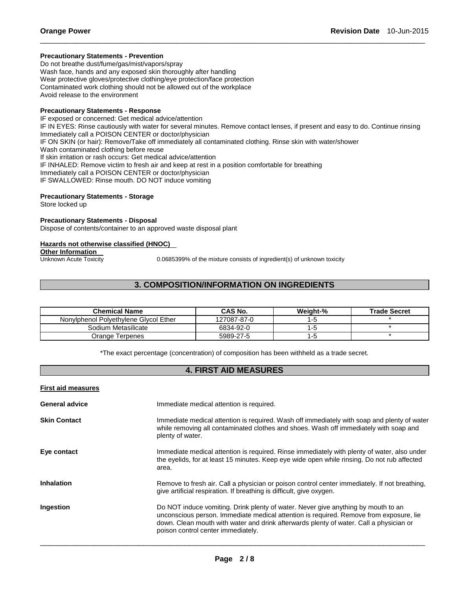#### **Precautionary Statements - Prevention**

Do not breathe dust/fume/gas/mist/vapors/spray Wash face, hands and any exposed skin thoroughly after handling Wear protective gloves/protective clothing/eye protection/face protection Contaminated work clothing should not be allowed out of the workplace Avoid release to the environment

#### **Precautionary Statements - Response**

IF exposed or concerned: Get medical advice/attention IF IN EYES: Rinse cautiously with water for several minutes. Remove contact lenses, if present and easy to do. Continue rinsing Immediately call a POISON CENTER or doctor/physician IF ON SKIN (or hair): Remove/Take off immediately all contaminated clothing. Rinse skin with water/shower Wash contaminated clothing before reuse If skin irritation or rash occurs: Get medical advice/attention IF INHALED: Remove victim to fresh air and keep at rest in a position comfortable for breathing Immediately call a POISON CENTER or doctor/physician IF SWALLOWED: Rinse mouth. DO NOT induce vomiting

\_\_\_\_\_\_\_\_\_\_\_\_\_\_\_\_\_\_\_\_\_\_\_\_\_\_\_\_\_\_\_\_\_\_\_\_\_\_\_\_\_\_\_\_\_\_\_\_\_\_\_\_\_\_\_\_\_\_\_\_\_\_\_\_\_\_\_\_\_\_\_\_\_\_\_\_\_\_\_\_\_\_\_\_\_\_\_\_\_\_\_\_\_

#### **Precautionary Statements - Storage**

Store locked up

#### **Precautionary Statements - Disposal**

Dispose of contents/container to an approved waste disposal plant

#### **Hazards not otherwise classified (HNOC)**

#### **Other Information**

Unknown Acute Toxicity 0.0685399% of the mixture consists of ingredient(s) of unknown toxicity

## **3. COMPOSITION/INFORMATION ON INGREDIENTS**

| Chemical Name                         | <b>CAS No.</b> | Weight-% | <b>Trade Secret</b> |
|---------------------------------------|----------------|----------|---------------------|
| Nonviphenol Polvethylene Givcol Ether | 127087-87-0    | 1-5      |                     |
| Sodium Metasilicate                   | 6834-92-0      | l-t      |                     |
| Orange Terpenes                       | 5989-27-5      | l -5     |                     |

\*The exact percentage (concentration) of composition has been withheld as a trade secret.

## **4. FIRST AID MEASURES**

| <b>First aid measures</b> |                                                                                                                                                                                                                                                                                                             |
|---------------------------|-------------------------------------------------------------------------------------------------------------------------------------------------------------------------------------------------------------------------------------------------------------------------------------------------------------|
| <b>General advice</b>     | Immediate medical attention is required.                                                                                                                                                                                                                                                                    |
| <b>Skin Contact</b>       | Immediate medical attention is required. Wash off immediately with soap and plenty of water<br>while removing all contaminated clothes and shoes. Wash off immediately with soap and<br>plenty of water.                                                                                                    |
| Eye contact               | Immediate medical attention is required. Rinse immediately with plenty of water, also under<br>the eyelids, for at least 15 minutes. Keep eye wide open while rinsing. Do not rub affected<br>area.                                                                                                         |
| <b>Inhalation</b>         | Remove to fresh air. Call a physician or poison control center immediately. If not breathing,<br>give artificial respiration. If breathing is difficult, give oxygen.                                                                                                                                       |
| Ingestion                 | Do NOT induce vomiting. Drink plenty of water. Never give anything by mouth to an<br>unconscious person. Immediate medical attention is required. Remove from exposure, lie<br>down. Clean mouth with water and drink afterwards plenty of water. Call a physician or<br>poison control center immediately. |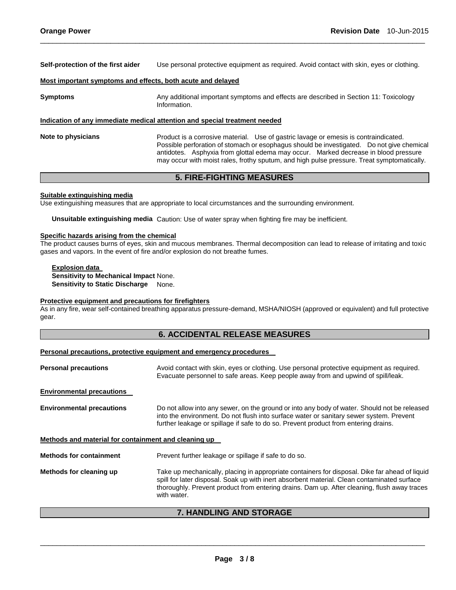**Self-protection of the first aider** Use personal protective equipment as required. Avoid contact with skin, eyes or clothing.

\_\_\_\_\_\_\_\_\_\_\_\_\_\_\_\_\_\_\_\_\_\_\_\_\_\_\_\_\_\_\_\_\_\_\_\_\_\_\_\_\_\_\_\_\_\_\_\_\_\_\_\_\_\_\_\_\_\_\_\_\_\_\_\_\_\_\_\_\_\_\_\_\_\_\_\_\_\_\_\_\_\_\_\_\_\_\_\_\_\_\_\_\_

#### **Most important symptoms and effects, both acute and delayed**

| <b>Symptoms</b>    | Any additional important symptoms and effects are described in Section 11: Toxicology<br>Information.                                                                                                                                                                                                                                                                  |  |  |
|--------------------|------------------------------------------------------------------------------------------------------------------------------------------------------------------------------------------------------------------------------------------------------------------------------------------------------------------------------------------------------------------------|--|--|
|                    | Indication of any immediate medical attention and special treatment needed                                                                                                                                                                                                                                                                                             |  |  |
| Note to physicians | Product is a corrosive material. Use of gastric lavage or emesis is contraindicated.<br>Possible perforation of stomach or esophagus should be investigated. Do not give chemical<br>antidotes. Asphyxia from glottal edema may occur. Marked decrease in blood pressure<br>may occur with moist rales, frothy sputum, and high pulse pressure. Treat symptomatically. |  |  |

## **5. FIRE-FIGHTING MEASURES**

#### **Suitable extinguishing media**

Use extinguishing measures that are appropriate to local circumstances and the surrounding environment.

**Unsuitable extinguishing media** Caution: Use of water spray when fighting fire may be inefficient.

#### **Specific hazards arising from the chemical**

The product causes burns of eyes, skin and mucous membranes. Thermal decomposition can lead to release of irritating and toxic gases and vapors. In the event of fire and/or explosion do not breathe fumes.

**Explosion data Sensitivity to Mechanical Impact** None. **Sensitivity to Static Discharge** None.

#### **Protective equipment and precautions for firefighters**

As in any fire, wear self-contained breathing apparatus pressure-demand, MSHA/NIOSH (approved or equivalent) and full protective gear.

## **6. ACCIDENTAL RELEASE MEASURES**

#### **Personal precautions, protective equipment and emergency procedures**

| <b>Personal precautions</b>                          | Avoid contact with skin, eyes or clothing. Use personal protective equipment as required.<br>Evacuate personnel to safe areas. Keep people away from and upwind of spill/leak.                                                                                                                              |  |
|------------------------------------------------------|-------------------------------------------------------------------------------------------------------------------------------------------------------------------------------------------------------------------------------------------------------------------------------------------------------------|--|
| <b>Environmental precautions</b>                     |                                                                                                                                                                                                                                                                                                             |  |
| <b>Environmental precautions</b>                     | Do not allow into any sewer, on the ground or into any body of water. Should not be released<br>into the environment. Do not flush into surface water or sanitary sewer system. Prevent<br>further leakage or spillage if safe to do so. Prevent product from entering drains.                              |  |
| Methods and material for containment and cleaning up |                                                                                                                                                                                                                                                                                                             |  |
| <b>Methods for containment</b>                       | Prevent further leakage or spillage if safe to do so.                                                                                                                                                                                                                                                       |  |
| Methods for cleaning up                              | Take up mechanically, placing in appropriate containers for disposal. Dike far ahead of liquid<br>spill for later disposal. Soak up with inert absorbent material. Clean contaminated surface<br>thoroughly. Prevent product from entering drains. Dam up. After cleaning, flush away traces<br>with water. |  |

## **7. HANDLING AND STORAGE**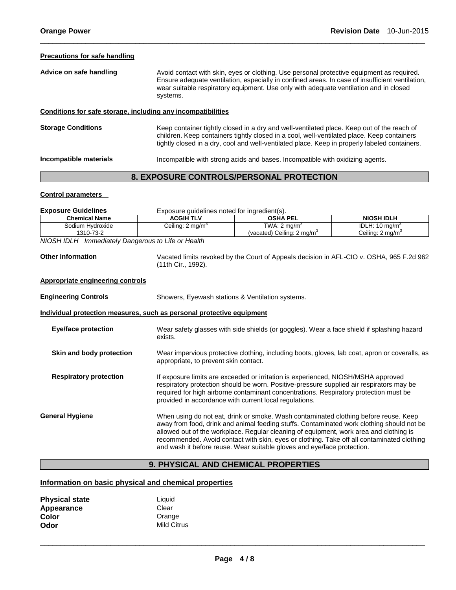#### **Precautions for safe handling**

Advice on safe handling **Auxician Activation** Avoid contact with skin, eyes or clothing. Use personal protective equipment as required. Ensure adequate ventilation, especially in confined areas. In case of insufficient ventilation, wear suitable respiratory equipment. Use only with adequate ventilation and in closed systems.

\_\_\_\_\_\_\_\_\_\_\_\_\_\_\_\_\_\_\_\_\_\_\_\_\_\_\_\_\_\_\_\_\_\_\_\_\_\_\_\_\_\_\_\_\_\_\_\_\_\_\_\_\_\_\_\_\_\_\_\_\_\_\_\_\_\_\_\_\_\_\_\_\_\_\_\_\_\_\_\_\_\_\_\_\_\_\_\_\_\_\_\_\_

#### **Conditions for safe storage, including any incompatibilities**

**Storage Conditions** Keep container tightly closed in a dry and well-ventilated place. Keep out of the reach of children. Keep containers tightly closed in a cool, well-ventilated place. Keep containers tightly closed in a dry, cool and well-ventilated place. Keep in properly labeled containers.

**Incompatible materials** Incompatible with strong acids and bases. Incompatible with oxidizing agents.

## **8. EXPOSURE CONTROLS/PERSONAL PROTECTION**

#### **Control parameters**

| <b>Exposure Guidelines</b>                                                             | Exposure guidelines noted for ingredient(s).                                                                                                    |                                                                                            |                             |  |  |
|----------------------------------------------------------------------------------------|-------------------------------------------------------------------------------------------------------------------------------------------------|--------------------------------------------------------------------------------------------|-----------------------------|--|--|
| <b>Chemical Name</b>                                                                   | <b>ACGIH TLV</b>                                                                                                                                | <b>OSHA PEL</b>                                                                            | <b>NIOSH IDLH</b>           |  |  |
| Sodium Hydroxide                                                                       | Ceiling: $2 \text{ mg/m}^3$                                                                                                                     | TWA: $2 \text{ mq/m}^3$                                                                    | IDLH: $10 \text{ mg/m}^3$   |  |  |
| 1310-73-2                                                                              |                                                                                                                                                 | (vacated) Ceiling: $2 \text{ mg/m}^3$                                                      | Ceiling: $2 \text{ mg/m}^3$ |  |  |
| NIOSH IDLH Immediately Dangerous to Life or Health                                     |                                                                                                                                                 |                                                                                            |                             |  |  |
|                                                                                        |                                                                                                                                                 |                                                                                            |                             |  |  |
| <b>Other Information</b>                                                               | Vacated limits revoked by the Court of Appeals decision in AFL-CIO v. OSHA, 965 F.2d 962                                                        |                                                                                            |                             |  |  |
|                                                                                        | (11th Cir., 1992).                                                                                                                              |                                                                                            |                             |  |  |
| <b>Appropriate engineering controls</b>                                                |                                                                                                                                                 |                                                                                            |                             |  |  |
|                                                                                        |                                                                                                                                                 |                                                                                            |                             |  |  |
| <b>Engineering Controls</b>                                                            | Showers, Eyewash stations & Ventilation systems.                                                                                                |                                                                                            |                             |  |  |
| Individual protection measures, such as personal protective equipment                  |                                                                                                                                                 |                                                                                            |                             |  |  |
|                                                                                        |                                                                                                                                                 |                                                                                            |                             |  |  |
| <b>Eye/face protection</b>                                                             |                                                                                                                                                 | Wear safety glasses with side shields (or goggles). Wear a face shield if splashing hazard |                             |  |  |
|                                                                                        | exists.                                                                                                                                         |                                                                                            |                             |  |  |
| Skin and body protection                                                               | Wear impervious protective clothing, including boots, gloves, lab coat, apron or coveralls, as                                                  |                                                                                            |                             |  |  |
|                                                                                        | appropriate, to prevent skin contact.                                                                                                           |                                                                                            |                             |  |  |
|                                                                                        |                                                                                                                                                 |                                                                                            |                             |  |  |
| <b>Respiratory protection</b>                                                          | If exposure limits are exceeded or irritation is experienced, NIOSH/MSHA approved                                                               |                                                                                            |                             |  |  |
|                                                                                        |                                                                                                                                                 | respiratory protection should be worn. Positive-pressure supplied air respirators may be   |                             |  |  |
|                                                                                        | required for high airborne contaminant concentrations. Respiratory protection must be<br>provided in accordance with current local regulations. |                                                                                            |                             |  |  |
|                                                                                        |                                                                                                                                                 |                                                                                            |                             |  |  |
| <b>General Hygiene</b>                                                                 |                                                                                                                                                 | When using do not eat, drink or smoke. Wash contaminated clothing before reuse. Keep       |                             |  |  |
|                                                                                        | away from food, drink and animal feeding stuffs. Contaminated work clothing should not be                                                       |                                                                                            |                             |  |  |
| allowed out of the workplace. Regular cleaning of equipment, work area and clothing is |                                                                                                                                                 |                                                                                            |                             |  |  |
|                                                                                        |                                                                                                                                                 | recommended. Avoid contact with skin, eyes or clothing. Take off all contaminated clothing |                             |  |  |
|                                                                                        |                                                                                                                                                 | and wash it before reuse. Wear suitable gloves and eye/face protection.                    |                             |  |  |
|                                                                                        |                                                                                                                                                 |                                                                                            |                             |  |  |

## **9. PHYSICAL AND CHEMICAL PROPERTIES**

## **Information on basic physical and chemical properties**

| <b>Physical state</b> | Liquid             |
|-----------------------|--------------------|
| Appearance            | Clear              |
| Color                 | Orange             |
| Odor                  | <b>Mild Citrus</b> |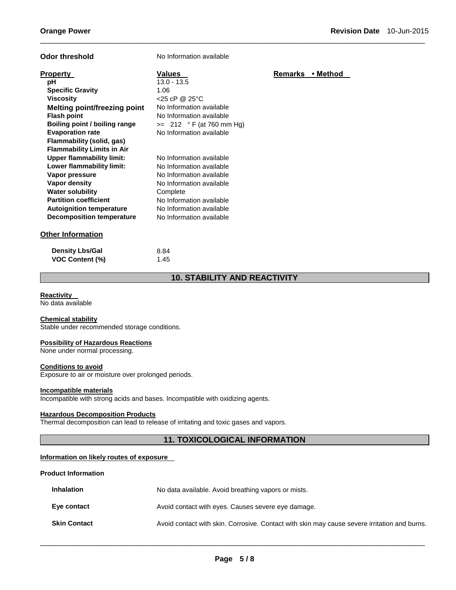| <b>Odor threshold</b>                                                                                                                                                                                                                                                          | No Information available                                                                                                                                                                                     |                  |
|--------------------------------------------------------------------------------------------------------------------------------------------------------------------------------------------------------------------------------------------------------------------------------|--------------------------------------------------------------------------------------------------------------------------------------------------------------------------------------------------------------|------------------|
| <b>Property</b><br>рH<br><b>Specific Gravity</b><br><b>Viscosity</b><br><b>Melting point/freezing point</b><br><b>Flash point</b><br>Boiling point / boiling range<br><b>Evaporation rate</b><br>Flammability (solid, gas)                                                     | <b>Values</b><br>$13.0 - 13.5$<br>1.06<br>$<$ 25 cP @ 25 °C<br>No Information available<br>No Information available<br>$\ge$ 212 ° F (at 760 mm Hg)<br>No Information available                              | Remarks • Method |
| <b>Flammability Limits in Air</b><br><b>Upper flammability limit:</b><br>Lower flammability limit:<br>Vapor pressure<br><b>Vapor density</b><br><b>Water solubility</b><br><b>Partition coefficient</b><br><b>Autoignition temperature</b><br><b>Decomposition temperature</b> | No Information available<br>No Information available<br>No Information available<br>No Information available<br>Complete<br>No Information available<br>No Information available<br>No Information available |                  |
| <b>Other Information</b>                                                                                                                                                                                                                                                       |                                                                                                                                                                                                              |                  |
| <b>Density Lbs/Gal</b><br><b>VOC Content (%)</b>                                                                                                                                                                                                                               | 8.84<br>1.45                                                                                                                                                                                                 |                  |

## **10. STABILITY AND REACTIVITY**

\_\_\_\_\_\_\_\_\_\_\_\_\_\_\_\_\_\_\_\_\_\_\_\_\_\_\_\_\_\_\_\_\_\_\_\_\_\_\_\_\_\_\_\_\_\_\_\_\_\_\_\_\_\_\_\_\_\_\_\_\_\_\_\_\_\_\_\_\_\_\_\_\_\_\_\_\_\_\_\_\_\_\_\_\_\_\_\_\_\_\_\_\_

## **Reactivity**

No data available

## **Chemical stability**

Stable under recommended storage conditions.

#### **Possibility of Hazardous Reactions**

None under normal processing.

#### **Conditions to avoid**

Exposure to air or moisture over prolonged periods.

#### **Incompatible materials**

Incompatible with strong acids and bases. Incompatible with oxidizing agents.

## **Hazardous Decomposition Products**

Thermal decomposition can lead to release of irritating and toxic gases and vapors.

## **11. TOXICOLOGICAL INFORMATION**

## **Information on likely routes of exposure**

#### **Product Information**

| <b>Inhalation</b>   | No data available. Avoid breathing vapors or mists.                                          |  |
|---------------------|----------------------------------------------------------------------------------------------|--|
| Eye contact         | Avoid contact with eyes. Causes severe eye damage.                                           |  |
| <b>Skin Contact</b> | Avoid contact with skin. Corrosive. Contact with skin may cause severe irritation and burns. |  |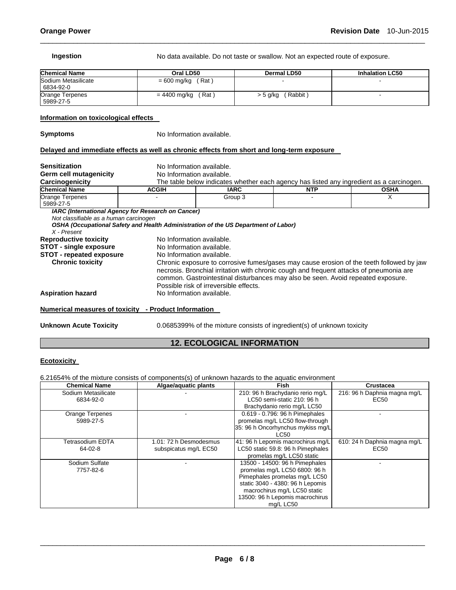**Ingestion No data available. Do not taste or swallow. Not an expected route of exposure.** 

| <b>Chemical Name</b>             | Oral LD50             | Dermal LD50          | <b>Inhalation LC50</b> |
|----------------------------------|-----------------------|----------------------|------------------------|
| Sodium Metasilicate<br>6834-92-0 | $= 600$ mg/kg (Rat)   |                      |                        |
| Orange Terpenes<br>5989-27-5     | (Rat)<br>= 4400 mg/kg | (Rabbit)<br>> 5 g/kg |                        |

\_\_\_\_\_\_\_\_\_\_\_\_\_\_\_\_\_\_\_\_\_\_\_\_\_\_\_\_\_\_\_\_\_\_\_\_\_\_\_\_\_\_\_\_\_\_\_\_\_\_\_\_\_\_\_\_\_\_\_\_\_\_\_\_\_\_\_\_\_\_\_\_\_\_\_\_\_\_\_\_\_\_\_\_\_\_\_\_\_\_\_\_\_

#### **Information on toxicological effects**

**Symptoms** No Information available.

#### **Delayed and immediate effects as well as chronic effects from short and long-term exposure**

| <b>Sensitization</b>                   | No Information available.                                                                                                                                                                                                                                                                                         |                                                                                          |  |   |  |  |  |
|----------------------------------------|-------------------------------------------------------------------------------------------------------------------------------------------------------------------------------------------------------------------------------------------------------------------------------------------------------------------|------------------------------------------------------------------------------------------|--|---|--|--|--|
| Germ cell mutagenicity                 |                                                                                                                                                                                                                                                                                                                   | No Information available.                                                                |  |   |  |  |  |
| Carcinogenicity                        |                                                                                                                                                                                                                                                                                                                   | The table below indicates whether each agency has listed any ingredient as a carcinogen. |  |   |  |  |  |
| <b>Chemical Name</b>                   | <b>ACGIH</b>                                                                                                                                                                                                                                                                                                      | <b>IARC</b><br><b>NTP</b><br><b>OSHA</b>                                                 |  |   |  |  |  |
| <b>Orange Terpenes</b>                 |                                                                                                                                                                                                                                                                                                                   | Group 3                                                                                  |  | х |  |  |  |
| 5989-27-5                              |                                                                                                                                                                                                                                                                                                                   |                                                                                          |  |   |  |  |  |
|                                        | <b>IARC (International Agency for Research on Cancer)</b>                                                                                                                                                                                                                                                         |                                                                                          |  |   |  |  |  |
| Not classifiable as a human carcinogen |                                                                                                                                                                                                                                                                                                                   |                                                                                          |  |   |  |  |  |
|                                        | OSHA (Occupational Safety and Health Administration of the US Department of Labor)                                                                                                                                                                                                                                |                                                                                          |  |   |  |  |  |
| X - Present                            |                                                                                                                                                                                                                                                                                                                   |                                                                                          |  |   |  |  |  |
| <b>Reproductive toxicity</b>           | No Information available.                                                                                                                                                                                                                                                                                         |                                                                                          |  |   |  |  |  |
| <b>STOT - single exposure</b>          |                                                                                                                                                                                                                                                                                                                   | No Information available.                                                                |  |   |  |  |  |
| <b>STOT - repeated exposure</b>        | No Information available.                                                                                                                                                                                                                                                                                         |                                                                                          |  |   |  |  |  |
| <b>Chronic toxicity</b>                | Chronic exposure to corrosive fumes/gases may cause erosion of the teeth followed by jaw<br>necrosis. Bronchial irritation with chronic cough and frequent attacks of pneumonia are<br>common. Gastrointestinal disturbances may also be seen. Avoid repeated exposure.<br>Possible risk of irreversible effects. |                                                                                          |  |   |  |  |  |
| <b>Aspiration hazard</b>               | No Information available.                                                                                                                                                                                                                                                                                         |                                                                                          |  |   |  |  |  |
|                                        | Numerical measures of toxicity - Product Information                                                                                                                                                                                                                                                              |                                                                                          |  |   |  |  |  |

**Unknown Acute Toxicity** 0.0685399% of the mixture consists of ingredient(s) of unknown toxicity

## **12. ECOLOGICAL INFORMATION**

### **Ecotoxicity**

6.21654% of the mixture consists of components(s) of unknown hazards to the aquatic environment

| <b>Chemical Name</b> | Algae/aquatic plants   | <b>Fish</b>                       | Crustacea                    |
|----------------------|------------------------|-----------------------------------|------------------------------|
| Sodium Metasilicate  |                        | 210: 96 h Brachydanio rerio mg/L  | 216: 96 h Daphnia magna mg/L |
| 6834-92-0            |                        | LC50 semi-static 210: 96 h        | EC50                         |
|                      |                        | Brachydanio rerio mg/L LC50       |                              |
| Orange Terpenes      |                        | 0.619 - 0.796: 96 h Pimephales    |                              |
| 5989-27-5            |                        | promelas mg/L LC50 flow-through   |                              |
|                      |                        | 35: 96 h Oncorhynchus mykiss mg/L |                              |
|                      |                        | LC50                              |                              |
| Tetrasodium EDTA     | 1.01: 72 h Desmodesmus | 41: 96 h Lepomis macrochirus mg/L | 610: 24 h Daphnia magna mg/L |
| 64-02-8              | subspicatus mg/L EC50  | LC50 static 59.8: 96 h Pimephales | EC50                         |
|                      |                        | promelas mg/L LC50 static         |                              |
| Sodium Sulfate       |                        | 13500 - 14500: 96 h Pimephales    |                              |
| 7757-82-6            |                        | promelas mg/L LC50 6800: 96 h     |                              |
|                      |                        | Pimephales promelas mg/L LC50     |                              |
|                      |                        | static 3040 - 4380: 96 h Lepomis  |                              |
|                      |                        | macrochirus mg/L LC50 static      |                              |
|                      |                        | 13500: 96 h Lepomis macrochirus   |                              |
|                      |                        | mg/L LC50                         |                              |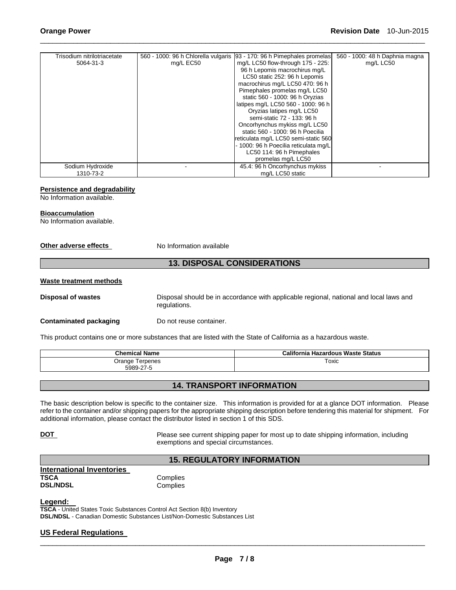| Trisodium nitrilotriacetate | 560 - 1000: 96 h Chlorella vulgaris | 93 - 170: 96 h Pimephales promelas    | 560 - 1000: 48 h Daphnia magna |
|-----------------------------|-------------------------------------|---------------------------------------|--------------------------------|
| 5064-31-3                   | mg/L EC50                           | mg/L LC50 flow-through 175 - 225:     | mg/L LC50                      |
|                             |                                     | 96 h Lepomis macrochirus mg/L         |                                |
|                             |                                     | LC50 static 252: 96 h Lepomis         |                                |
|                             |                                     | macrochirus mg/L LC50 470: 96 h       |                                |
|                             |                                     | Pimephales promelas mg/L LC50         |                                |
|                             |                                     | static 560 - 1000: 96 h Oryzias       |                                |
|                             |                                     | latipes mg/L LC50 560 - 1000: 96 h    |                                |
|                             |                                     | Oryzias latipes mg/L LC50             |                                |
|                             |                                     | semi-static 72 - 133: 96 h            |                                |
|                             |                                     | Oncorhynchus mykiss mg/L LC50         |                                |
|                             |                                     | static 560 - 1000: 96 h Poecilia      |                                |
|                             |                                     | reticulata mg/L LC50 semi-static 560  |                                |
|                             |                                     | - 1000: 96 h Poecilia reticulata mg/L |                                |
|                             |                                     | LC50 114: 96 h Pimephales             |                                |
|                             |                                     | promelas mg/L LC50                    |                                |
| Sodium Hydroxide            |                                     | 45.4: 96 h Oncorhynchus mykiss        |                                |
| 1310-73-2                   |                                     | mg/L LC50 static                      |                                |

\_\_\_\_\_\_\_\_\_\_\_\_\_\_\_\_\_\_\_\_\_\_\_\_\_\_\_\_\_\_\_\_\_\_\_\_\_\_\_\_\_\_\_\_\_\_\_\_\_\_\_\_\_\_\_\_\_\_\_\_\_\_\_\_\_\_\_\_\_\_\_\_\_\_\_\_\_\_\_\_\_\_\_\_\_\_\_\_\_\_\_\_\_

#### **Persistence and degradability**

No Information available.

#### **Bioaccumulation**

No Information available.

#### **Other adverse effects** No Information available

## **13. DISPOSAL CONSIDERATIONS**

#### **Waste treatment methods**

**Disposal of wastes** Disposal should be in accordance with applicable regional, national and local laws and regulations.

#### **Contaminated packaging by Do not reuse container.**

This product contains one or more substances that are listed with the State of California as a hazardous waste.

| <b>Chemical Name</b>            | California<br><b>Hazardous Waste Status</b> |
|---------------------------------|---------------------------------------------|
| Orange<br>Terpenes<br>5989-27-5 | Toxic                                       |

## **14. TRANSPORT INFORMATION**

The basic description below is specific to the container size. This information is provided for at a glance DOT information. Please refer to the container and/or shipping papers for the appropriate shipping description before tendering this material for shipment. For additional information, please contact the distributor listed in section 1 of this SDS.

**DOT** Please see current shipping paper for most up to date shipping information, including exemptions and special circumstances.

## **15. REGULATORY INFORMATION**

**International Inventories TSCA** Complies **DSL/NDSL** Complies

#### **Legend:**

**TSCA** - United States Toxic Substances Control Act Section 8(b) Inventory **DSL/NDSL** - Canadian Domestic Substances List/Non-Domestic Substances List

## **US Federal Regulations**